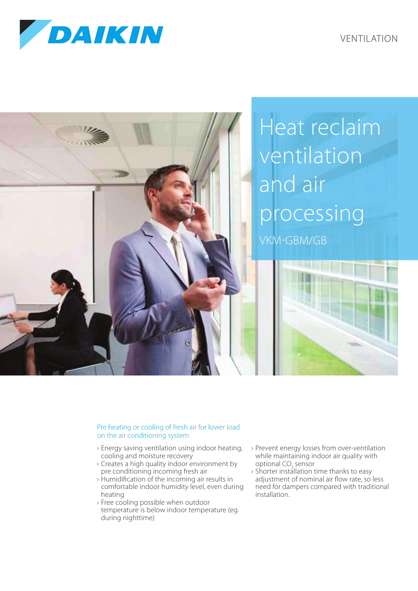

VENTILATION



## Pre heating or cooling of fresh air for lower load on the air conditioning system

- › Energy saving ventilation using indoor heating, cooling and moisture recovery
- › Creates a high quality indoor environment by pre conditioning incoming fresh air
- › Humidification of the incoming air results in comfortable indoor humidity level, even during heating
- › Free cooling possible when outdoor temperature is below indoor temperature (eg. during nighttime)
- › Prevent energy losses from over-ventilation while maintaining indoor air quality with optional CO<sub>2</sub> sensor
- › Shorter installation time thanks to easy adjustment of nominal air flow rate, so less need for dampers compared with traditional installation.